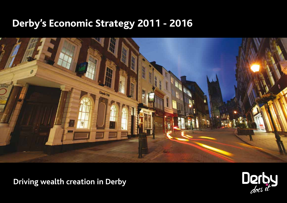# **Derby's Economic Strategy 2011 - 2016**



**Driving wealth creation in Derby**

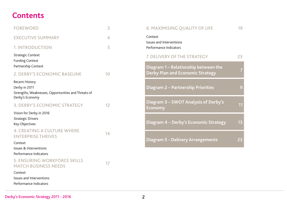### **Contents**

| <b>FOREWORD</b>                                                                                           | 3  |
|-----------------------------------------------------------------------------------------------------------|----|
| <b>EXECUTIVE SUMMARY</b>                                                                                  | 4  |
| <b>1. INTRODUCTION</b>                                                                                    | 5  |
| <b>Strategic Context</b><br><b>Funding Context</b><br>Partnership Context                                 |    |
| <b>2. DERBY'S ECONOMIC BASELINE</b>                                                                       | 10 |
| Recent History<br>Derby in 2011<br>Strengths, Weaknesses, Opportunities and Threats of<br>Derby's Economy |    |
| <b>3. DERBY'S ECONOMIC STRATEGY</b>                                                                       | 12 |
| Vision for Derby in 2016<br><b>Strategic Drivers</b><br>Key Objectives                                    |    |
| <b>4. CREATING A CULTURE WHERE</b><br><b>ENTERPRISE THRIVES</b>                                           | 14 |
| Context                                                                                                   |    |
| Issues & Interventions<br>Performance Indicators                                                          |    |
| <b>5. ENSURING WORKFORCE SKILLS</b><br><b>MATCH BUSINESS NEEDS</b>                                        | 17 |
| Context                                                                                                   |    |
| Issues and Interventions<br>Performance Indicators                                                        |    |

| <b>6. MAXIMISING QUALITY OF LIFE</b>                                            | 19 |
|---------------------------------------------------------------------------------|----|
| Context<br><b>Issues and Interventions</b><br>Performance Indicators            |    |
| <b>7. DELIVERY OF THE STRATEGY</b>                                              | 23 |
| Diagram 1 – Relationship between the<br><b>Derby Plan and Economic Strategy</b> |    |
| <b>Diagram 2 - Partnership Priorities</b>                                       |    |
| Diagram 3 – SWOT Analysis of Derby's<br>Economy                                 | 11 |
| Diagram 4 - Derby's Economic Strategy                                           | 13 |
| <b>Diagram 5 - Delivery Arrangements</b>                                        | 23 |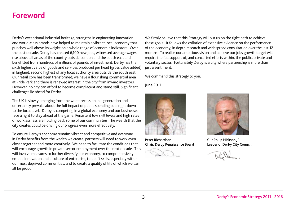### **Foreword**

Derby's exceptional industrial heritage, strengths in engineering innovation and world-class brands have helped to maintain a vibrant local economy that punches well above its weight on a whole range of economic indicators. Over the past decade, Derby has created 6,100 new jobs, witnessed average wages rise above all areas of the country outside London and the south east and benefitted from hundreds of millions of pounds of investment. Derby has the sixth highest value of goods and services produced per head (gross value added) in England, second highest of any local authority area outside the south east. Our retail core has been transformed; we have a flourishing commercial area at Pride Park and there is renewed interest in the city from inward investors. However, no city can afford to become complacent and stand still. Significant challenges lie ahead for Derby.

The UK is slowly emerging from the worst recession in a generation and uncertainty prevails about the full impact of public spending cuts right down to the local level. Derby is competing in a global economy and our businesses face a fight to stay ahead of the game. Persistent low skill levels and high rates of worklessness are holding back some of our communities. The wealth that the city creates could be driving our progress even more effectively.

To ensure Derby's economy remains vibrant and competitive and everyone in Derby benefits from the wealth we create, partners will need to work even closer together and more creatively. We need to facilitate the conditions that will encourage growth in private sector employment over the next decade. This will involve measures to further diversify our economy, to comprehensively embed innovation and a culture of enterprise, to uplift skills, especially within our most deprived communities, and to create a quality of life of which we can all be proud.

We firmly believe that this Strategy will put us on the right path to achieve these goals. It follows the collation of extensive evidence on the performance of the economy, in depth research and widespread consultation over the last 12 months. To realise our ambitious vision and achieve our jobs growth target will require the full support of, and concerted efforts within, the public, private and voluntary sector. Fortunately Derby is a city where partnership is more than just a sentiment.

We commend this strategy to you.

June 2011



Peter Richardson Chair, Derby Renaissance Board



Cllr Philip Hickson JP Leader of Derby City Council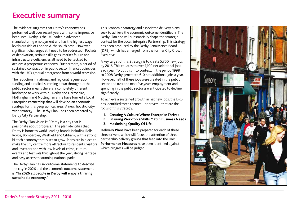### **Executive summary**

The evidence suggests that Derby's economy has performed well over recent years with some impressive headlines: Derby is the UK leader in advanced manufacturing employment and has the highest wage levels outside of London & the south east. However, significant challenges still need to be addressed. Pockets of deprivation, serious skills gaps, market failure and infrastructure deficiencies all need to be tackled to achieve a prosperous economy. Furthermore, a period of sustained contraction in public sector finances coincides with the UK's gradual emergence from a world recession.

The reduction in national and regional regeneration funding and a radical slimming down throughout the public sector means there is a completely different landscape to work within. Derby and Derbyshire, Nottingham and Nottinghamshire have formed a Local Enterprise Partnership that will develop an economic strategy for this geographical area. A new, holistic, citywide strategy - The Derby Plan - has been prepared by Derby City Partnership.

The Derby Plan vision is: "Derby is a city that is passionate about progress." The plan identifies that Derby is home to world-leading brands including Rolls-Royce, Bombardier, Westfield and Citibank, with a strong hi-tech economy that is set to grow. Plans are in place to make the city centre more attractive to residents, visitors and investors and with low levels of crime, cultural events and festivals throughout the year, strong heritage and easy access to stunning national parks.

The Derby Plan has six outcome statements to describe the city in 2026 and the economic outcome statement is: **"In 2026 all people in Derby will enjoy a thriving sustainable economy."**

This Economic Strategy and associated delivery plans seek to achieve the economic outcome identified in The Derby Plan and will substantially shape the strategic context for the Local Enterprise Partnership. This strategy has been produced by the Derby Renaissance Board (DRB), which has emerged from the former City Growth **Executive** 

A key target of this Strategy is to create 5,700 new jobs by 2016. This equates to over 1,100 net additional jobs each year. To put this into context, in the period 1998 to 2008 Derby generated 610 net additional jobs a year. However, half of these jobs were created in the public sector and over the next five years employment and spending in the public sector are anticipated to decline significantly.

To achieve a sustained growth in net new jobs, the DRB has identified three themes – or drivers - that are the focus of this Strategy:

- **1. Creating A Culture Where Enterprise Thrives**
- **2. Ensuring Workforce Skills Match Business Needs**
- **3. Maximising Quality Of Life.**

**Delivery Plans** have been prepared for each of these three drivers, which will focus the attention of three partnership delivery groups that feed into the DRB. **Performance Measures** have been identified against which progress will be judged.

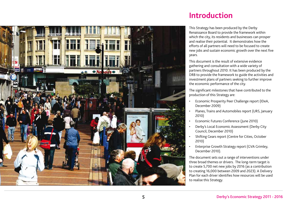

### **Introduction**

This Strategy has been produced by the Derby Renaissance Board to provide the framework within which the city, its residents and businesses can prosper and realise their potential. It demonstrates how the efforts of all partners will need to be focused to create new jobs and sustain economic growth over the next five years.

This document is the result of extensive evidence gathering and consultation with a wide variety of partners throughout 2010. It has been produced by the DRB to provide the framework to guide the activities and investment plans of partners seeking to further improve the economic performance of the city.

The significant milestones that have contributed to the production of this Strategy are:

- Economic Prosperity Peer Challenge report (IDeA, December 2009)
- Planes, Trains and Automobiles report (URS, January 2010)
- Economic Futures Conference (June 2010)
- Derby's Local Economic Assessment (Derby City Council, December 2010)
- Shifting Gears report (Centre for Cities, October 2010)
- Enterprise Growth Strategy report (GVA Grimley, December 2010).

The document sets out a range of interventions under three broad themes or drivers. The long-term target is to create 5,700 net new jobs by 2016 (as a contribution to creating 16,000 between 2009 and 2023). A Delivery Plan for each driver identifies how resources will be used to realise this Strategy.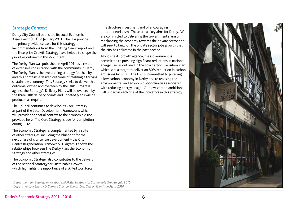### Strategic Context

Derby City Council published its Local Economic Assessment (LEA) in January 2011. The LEA provides the primary evidence base for this strategy. Recommendations from the 'Shifting Gears' report and the Enterprise Growth Strategy have helped to shape the priorities outlined in this document.

The Derby Plan was published in April 2011 as a result of extensive consultation with the community in Derby. The Derby Plan is the overarching strategy for the city and this contains a desired outcome of realising a thriving sustainable economy. This Strategy seeks to deliver this outcome, owned and overseen by the DRB. Progress against the Strategy's Delivery Plans will be overseen by the three DRB delivery boards and updated plans will be produced as required.

The Council continues to develop its Core Strategy as part of the Local Development Framework, which will provide the spatial context to the economic vision provided here. The Core Strategy is due for completion during 2012.

The Economic Strategy is complemented by a suite of other strategies, including the blueprint for the next phase of city centre development – the City Centre Regeneration Framework. Diagram 1 shows the relationships between The Derby Plan, the Economic Strategy and other strategies.

The Economic Strategy also contributes to the delivery of the national Strategy for Sustainable Growth<sup>1</sup>, which highlights the importance of a skilled workforce,

*1 Department for Business Innovation and Skills, Strategy for Sustainable Growth, July 2010 2 Department for Energy & Climate Change, The UK Low Carbon Transition Plan, 2010*

infrastructure investment and of encouraging entrepreneurialism. These are all key aims for Derby. We are committed to delivering the Government's aim of rebalancing the economy towards the private sector and will seek to build on the private sector jobs growth that the city has delivered in the past decade.

Alongside its growth agenda, the Government is committed to pursuing significant reductions in national energy use, as outlined in the Low Carbon Transition Plan2 which sets a target to deliver an 80% reduction in carbon emissions by 2050. The DRB is committed to pursuing a low carbon economy in Derby and to realising the environmental and economic opportunities associated with reducing energy usage. Our low-carbon ambitions will underpin each one of the indicators in this strategy.

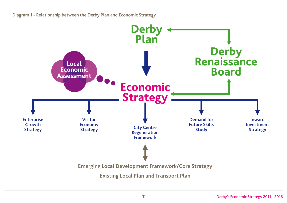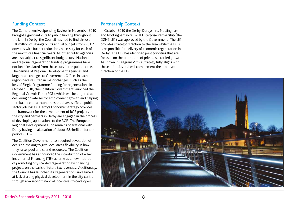### Funding Context

The Comprehensive Spending Review in November 2010 brought significant cuts to public funding throughout the UK. In Derby, the Council has had to find almost £30million of savings on its annual budgets from 2011/12 onwards with further reductions necessary for each of the next three financial years. All other public agencies are also subject to significant budget cuts. National and regional regeneration funding programmes have not been insulated from these cuts in the public purse. The demise of Regional Development Agencies and large-scale changes to Government Offices in each region have resulted in major changes, such as the loss of Single Programme funding for regeneration. In October 2010, the Coalition Government launched the Regional Growth Fund (RGF), which will be targeted at delivering private sector employment growth and helping to rebalance local economies that have suffered public sector job losses. Derby's Economic Strategy provides the framework for the development of RGF projects in the city and partners in Derby are engaged in the process of developing applications to the RGF. The European Regional Development Fund remains operational with Derby having an allocation of about £8.4million for the period 2011 – 13.

The Coalition Government has required devolution of decision-making to give local areas flexibility in how they raise, pool and spend resources. The Coalition Government has announced the introduction of a Tax Incremental Financing (TIF) scheme as a new method of promoting physical-led regeneration by financing projects on the basis of future tax revenues. Additionally, the Council has launched its Regeneration Fund aimed at kick starting physical development in the city centre through a variety of financial incentives to developers.

#### Partnership Context

In October 2010 the Derby, Derbyshire, Nottingham and Nottinghamshire Local Enterprise Partnership (the D2N2 LEP) was approved by the Government. The LEP provides strategic direction to the area while the DRB is responsible for delivery of economic regeneration in Derby. The LEP has identified joint priorities that are focused on the promotion of private sector led growth. As shown in Diagram 2, this Strategy fully aligns with these priorities and will complement the proposed direction of the LEP.

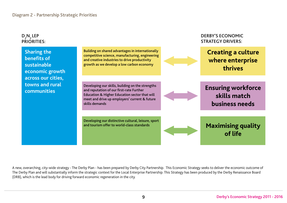

A new, overarching, city-wide strategy - The Derby Plan - has been prepared by Derby City Partnership. This Economic Strategy seeks to deliver the economic outcome of The Derby Plan and will substantially inform the strategic context for the Local Enterprise Partnership. This Strategy has been produced by the Derby Renaissance Board (DRB), which is the lead body for driving forward economic regeneration in the city.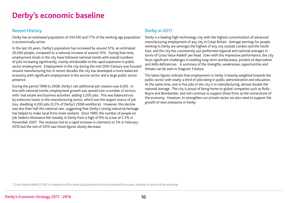### **Derby's economic baseline**

### Recent History

Derby has an estimated population of 244,100 and 77% of the working age population is economically active.

In the last 30 years, Derby's population has increased by around 12%, an estimated 26,000 people, compared to a national increase of around 10%. During that time, employment levels in the city have followed national trends with overall numbers of jobs increasing significantly, mainly attributable to the rapid expansion in public sector employment. Employment in the city during the mid 20th-Century was focused around manufacturing but in recent decades the city has developed a more balanced economy with significant employment in the service sector and a large public sector presence.

During the period 1998 to 2008, Derby's net additional job creation was 6,100. In line with national trends, employment growth was spread over a number of sectors, with 'real estate and business activities' adding 5,200 jobs. This was balanced out by extensive losses in the manufacturing sector, which was the largest source of job loss, shedding 4,200 jobs (3.5% of Derby's 2008 workforce). However, this decline was less than half the national rate, suggesting that Derby's strong industrial heritage has helped to make local firms more resilient. Since 1990, the number of people on Job Seekers Allowance fell steadily in Derby from a high of 9% to a low of 2.3% in November 2007. The recession led to a rapid increase in claimants to 5% in February 2010 but the rest of 2010 saw these figures slowly decrease.

### Derby in 2011

Derby is a leading high-technology city with the highest concentration of advanced manufacturing employment of any city in Great Britain. Average earnings for people working in Derby are amongst the highest of any city outside London and the South East, and the city has consistently out-performed regional and national averages in terms of Gross Value Added<sup>3</sup> per head. Even with this impressive performance, the city faces significant challenges in tackling long-term worklessness, pockets of deprivation and skills deficiencies. A summary of the strengths, weaknesses, opportunities and threats can be seen in Diagram 3 below.

The latest figures indicate that employment in Derby is heavily weighted towards the public sector with nearly a third of jobs being in public administration and education. At the same time, one in five jobs in the city is in manufacturing, almost double the national average. The city is proud of being home to global companies such as Rolls-Royce and Bombardier, and will continue to support these firms as the cornerstone of the economy. However, to strengthen our private sector we also need to support the growth of new enterprise in Derby.

<sup>3</sup> Gross Value Added (GVA) is a measure of the value of goods and services produced in an area, industry or sector of an economy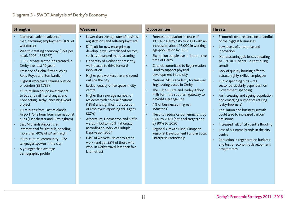| <b>Strengths</b>                                                                                                                                                                                                                                                                                                                                                                                                                                                                                                                                                                                                                                                                                                                                                                                                                                                                                        | <b>Weakness</b>                                                                                                                                                                                                                                                                                                                                                                                                                                                                                                                                                                                                                                                                                                                                                                                                        | <b>Opportunities</b>                                                                                                                                                                                                                                                                                                                                                                                                                                                                                                                                                                                                                                                                                                                                                            | <b>Threats</b>                                                                                                                                                                                                                                                                                                                                                                                                                                                                                                                                                                                                                                                                                                                      |
|---------------------------------------------------------------------------------------------------------------------------------------------------------------------------------------------------------------------------------------------------------------------------------------------------------------------------------------------------------------------------------------------------------------------------------------------------------------------------------------------------------------------------------------------------------------------------------------------------------------------------------------------------------------------------------------------------------------------------------------------------------------------------------------------------------------------------------------------------------------------------------------------------------|------------------------------------------------------------------------------------------------------------------------------------------------------------------------------------------------------------------------------------------------------------------------------------------------------------------------------------------------------------------------------------------------------------------------------------------------------------------------------------------------------------------------------------------------------------------------------------------------------------------------------------------------------------------------------------------------------------------------------------------------------------------------------------------------------------------------|---------------------------------------------------------------------------------------------------------------------------------------------------------------------------------------------------------------------------------------------------------------------------------------------------------------------------------------------------------------------------------------------------------------------------------------------------------------------------------------------------------------------------------------------------------------------------------------------------------------------------------------------------------------------------------------------------------------------------------------------------------------------------------|-------------------------------------------------------------------------------------------------------------------------------------------------------------------------------------------------------------------------------------------------------------------------------------------------------------------------------------------------------------------------------------------------------------------------------------------------------------------------------------------------------------------------------------------------------------------------------------------------------------------------------------------------------------------------------------------------------------------------------------|
| National leader in advanced<br>manufacturing employment (10% of<br>workforce)<br>Wealth-creating economy (GVA per<br>$\bullet$<br>head, 2007 - £23,167)<br>3,200 private sector jobs created in<br>$\bullet$<br>Derby over last 10 years<br>Presence of global firms such as<br>Rolls-Royce and Bombardier<br>Highest workplace salaries outside<br>of London (£31,785)<br>Multi million pound investments<br>$\bullet$<br>to bus and rail interchanges and<br>Connecting Derby Inner Ring Road<br>project<br>20 minutes from East Midlands<br>$\bullet$<br>Airport, One hour from international<br>hubs (Manchester and Birmingham)<br>East Midlands Airport is an<br>$\bullet$<br>international freight hub, handling<br>more than 40% of UK air freight<br>Multi-cultural community - 172<br>$\bullet$<br>languages spoken in the city<br>A younger than average<br>$\bullet$<br>demographic profile | Lower than average rate of business<br>registrations and self-employment<br>Difficult for new enterprise to<br>develop in well established sectors,<br>such as advanced manufacturing<br>University of Derby not presently<br>$\bullet$<br>well-placed to drive forward<br>innovation<br>Higher paid workers live and spend<br>outside the city<br>Lack of quality office space in city<br>centre<br>Higher than average number of<br>residents with no qualifications<br>(18%) and significant proportion<br>of employers reporting skills gaps<br>(22%)<br>Arboretum, Normanton and Sinfin<br>wards in bottom 6% nationally<br>according to Index of Multiple<br><b>Deprivation 2007</b><br>64% of workers use car to get to<br>work (and yet 55% of those who<br>work in Derby travel less than five<br>kilometres) | Forecast population increase of<br>19.5% in Derby City to 2030 with an<br>increase of about 16,000 in working-<br>age-population by 2023<br>Six million people live in 1 hour drive<br>time of Derby<br>Council committed to Regeneration<br>Fund to support physical<br>development in the city<br>National Skills Academy for Railway<br>$\ddot{\phantom{1}}$<br>Engineering based in Derby<br>The Silk Mill site and Darley Abbey<br>$\bullet$<br>Mills form the southern gateway to<br>a World Heritage Site<br>4% of businesses in 'green<br>$\bullet$<br>industries'<br>Need to reduce carbon emissions by<br>34% by 2020 (national target) and<br>by 80% by 2050<br>Regional Growth Fund, European<br>Regional Development Fund & Local<br><b>Enterprise Partnership</b> | Economic over-reliance on a handful<br>of the biggest businesses<br>Low levels of enterprise and<br>innovation<br>Manufacturing job losses equating<br>to 15% in 10 years - a continuing<br>trend?<br>Lack of quality housing offer to<br>attract highly-skilled employees<br>Public spending cuts - rail<br>sector particularly dependent on<br>Government spending<br>An increasing and ageing population<br>and emerging number of retiring<br>'baby-boomers'<br>Population and business growth<br>could lead to increased carbon<br>emissions<br>Increased risk of city centre flooding<br>Loss of big name brands in the city<br>centre<br>Reduction in regeneration budgets<br>and loss of economic development<br>programmes |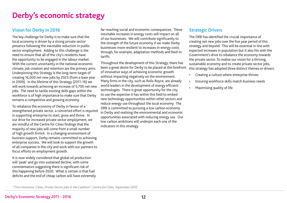# **Derby's economic strategy**

### Vision for Derby in 2016

The key challenge for Derby is to make sure that the local economy is driven by a strong private sector presence following the inevitable reduction in public sector employment. Adding to this challenge is the need to ensure that all of the city's residents have the opportunity to be engaged in the labour market. With the current uncertainty in the national economic climate, job creation and retention are the primary aims. Underpinning this Strategy is the long-term target of creating 16,000 net new jobs by 2023 (from a base year in 2009). In the lifetime of this Strategy (2011-16) we will work towards achieving an increase of 5,700 net new jobs. The need to tackle existing skills gaps within the workforce is of high importance to make sure that Derby remains a competitive and growing economy.

To rebalance the economy of Derby in favour of a strengthened private sector, a concerted effort is required in supporting enterprise to start, grow and thrive. In our drive for increased private sector employment, we are mindful of the Centre for Cities findings that the majority of new jobs will come from a small number of high growth firms4. In a changing environment of business support, Derby remains committed to achieving enterprise success. We will look to support the growth of all companies in the city and work with our partners to focus efforts on employment growth.

It is now widely considered that global oil production will 'peak' and go into sustained decline, with some commentators suggesting there is significant risk of this happening before 2020. What is certain is that fuel deficits and the end of cheap carbon will have extremely far-reaching social and economic consequences. These inevitable increases in energy costs will impact on all of our businesses. We will contribute significantly to the strength of the future economy if we make Derby businesses more resilient to increases in energy costs through, for example, adaptation methods and feed-in tariffs.

Throughout the development of this Strategy, there has been a great desire for Derby to be placed at the forefront of innovative ways of achieving economic growth without impacting negatively on the environment. Many firms in the city, such as Rolls-Royce, are already world leaders in the development of energy efficient technologies. There is great opportunity for the city to use the expertise it has within this field to embed new technology opportunities within other sectors and reduce energy use throughout the local economy. The DRB is committed to pursuing a low carbon economy in Derby and realising the environmental and economic opportunities associated with reducing energy use. Our low carbon ambitions will underpin each one of the indicators in this strategy.

### Strategic Drivers

The DRB has identified the crucial importance of creating net new jobs over the five year period of this strategy and beyond. This will be essential in line with expected increases in population but it also fits with the Government's drive to rebalance the economy towards the private sector. To realise our vision for a thriving, sustainable economy and to create private sector jobs, this strategy has adopted three distinct themes or drivers:

- Creating a culture where enterprise thrives
- Ensuring workforce skills match business needs
- Maximising quality of life

*<sup>4 &</sup>quot;Firm Intentions: Cities, Private Sector Jobs & the Coalition", Centre for Cities, September 2010*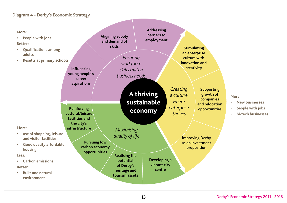### Diagram 4 - Derby's Economic Strategy

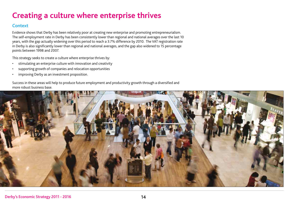# **Creating a culture where enterprise thrives**

#### **Context**

Evidence shows that Derby has been relatively poor at creating new enterprise and promoting entrepreneurialism. The self-employment rate in Derby has been consistently lower than regional and national averages over the last 10 years, with the gap actually widening over this period to reach a 3.7% difference by 2010. The VAT registration rate in Derby is also significantly lower than regional and national averages, and the gap also widened to 15 percentage points between 1998 and 2007.

This strategy seeks to create a culture where enterprise thrives by:

- stimulating an enterprise culture with innovation and creativity
- supporting growth of companies and relocation opportunities
- improving Derby as an investment proposition.

Success in these areas will help to produce future employment and productivity growth through a diversified and more robust business base.

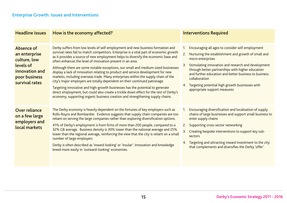| <b>Headline Issues</b>                                                                                        | How is the economy affected?                                                                                                                                                                                                                                                                                                                                                                                                                                                                                                                                                                                                                                                                                                                                                                                                                                                                                                             | <b>Interventions Required</b>                                                                                                                                                                                                                                                                                                                                                                                           |
|---------------------------------------------------------------------------------------------------------------|------------------------------------------------------------------------------------------------------------------------------------------------------------------------------------------------------------------------------------------------------------------------------------------------------------------------------------------------------------------------------------------------------------------------------------------------------------------------------------------------------------------------------------------------------------------------------------------------------------------------------------------------------------------------------------------------------------------------------------------------------------------------------------------------------------------------------------------------------------------------------------------------------------------------------------------|-------------------------------------------------------------------------------------------------------------------------------------------------------------------------------------------------------------------------------------------------------------------------------------------------------------------------------------------------------------------------------------------------------------------------|
|                                                                                                               |                                                                                                                                                                                                                                                                                                                                                                                                                                                                                                                                                                                                                                                                                                                                                                                                                                                                                                                                          |                                                                                                                                                                                                                                                                                                                                                                                                                         |
| Absence of<br>an enterprise<br>culture, low<br>levels of<br>innovation and<br>poor business<br>survival rates | Derby suffers from low levels of self-employment and new business formation and<br>survival rates fail to match competitors. Enterprise is a vital part of economic growth<br>as it provides a source of new employment helps to diversify the economic base and<br>often enhances the level of innovation present in an area.<br>Although there are some notable exceptions, our small and medium-sized businesses<br>display a lack of innovation relating to product and service development for new<br>markets, including overseas trade. Many enterprises within the supply chain of the<br>city's major employers are totally dependent on their continued patronage.<br>Targeting innovative and high-growth businesses has the potential to generate<br>direct employment, but could also create a trickle down effect for the rest of Derby's<br>economy, supporting organic business creation and strengthening supply chains. | Encouraging all ages to consider self-employment<br>2.<br>Nurturing the establishment and growth of small and<br>micro enterprises<br>Stimulating innovation and research and development<br>3.<br>through better partnerships with higher education<br>and further education and better business to business<br>collaboration<br>Targeting potential high growth businesses with<br>4.<br>appropriate support measures |
| <b>Over reliance</b><br>on a few large<br>employers and<br>local markets                                      | The Derby economy is heavily dependent on the fortunes of key employers such as<br>Rolls-Royce and Bombardier. Evidence suggests that supply chain companies are too<br>reliant on serving the large companies rather than exploring diversification options.<br>41% of Derby's employment is from firms of more than 200 people, compared to a<br>32% GB average. Business density is 30% lower than the national average and 25%<br>lower than the regional average, reinforcing the view that the city is reliant on a small<br>number of large employers<br>Derby is often described as 'inward looking' or 'insular'. Innovation and knowledge<br>breed more easily in 'outward-looking' economies.                                                                                                                                                                                                                                 | Encouraging diversification and localisation of supply<br>chains of large businesses and support small business to<br>enter supply chains<br>Supporting cross-sector networking<br>2.<br>3.<br>Creating bespoke interventions to support key sub-<br>sectors<br>4. Targeting and attracting inward investment to the city<br>that complements and diversifies the Derby 'offer'                                         |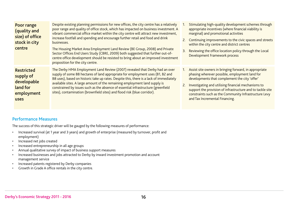| Poor range<br>(quality and<br>size) of office<br>stock in city<br>centre        | Despite existing planning permissions for new offices, the city centre has a relatively<br>poor range and quality of office stock, which has impacted on business investment. A<br>vibrant commercial office market within the city centre will attract new investment,<br>increase footfall and spending and encourage further retail and food and drink<br>businesses.<br>The Housing Market Area Employment Land Review (BE Group, 2008) and Private<br>Sector Offices End Users Study (CBRE, 2009) both suggested that further out-of-<br>centre office development should be resisted to bring about an improved investment<br>proposition for the city centre. | Stimulating high-quality development schemes through<br>appropriate incentives (where financial viability is<br>marginal) and promotional activities<br>2. Continuing improvements to the civic spaces and streets<br>within the city centre and district centres<br>Reviewing the office location policy through the Local<br>3.<br>Development Framework process                    |
|---------------------------------------------------------------------------------|----------------------------------------------------------------------------------------------------------------------------------------------------------------------------------------------------------------------------------------------------------------------------------------------------------------------------------------------------------------------------------------------------------------------------------------------------------------------------------------------------------------------------------------------------------------------------------------------------------------------------------------------------------------------|---------------------------------------------------------------------------------------------------------------------------------------------------------------------------------------------------------------------------------------------------------------------------------------------------------------------------------------------------------------------------------------|
| <b>Restricted</b><br>supply of<br>developable<br>land for<br>employment<br>uses | The Derby HMA Employment Land Review (2007) revealed that Derby had an over<br>supply of some 88 hectares of land appropriate for employment uses (B1, B2 and<br>B8 uses), based on historic take up rates. Despite this, there is a lack of immediately<br>available sites. A large amount of the remaining employment land supply is<br>constrained by issues such as the absence of essential infrastructure (greenfield<br>sites), contamination (brownfield sites) and flood risk (blue corridor).                                                                                                                                                              | Assist site owners in bringing forward, in appropriate<br>1.<br>phasing wherever possible, employment land for<br>developments that complement the city 'offer'<br>Investigating and utilising financial mechanisms to<br>2.<br>support the provision of infrastructure and to tackle site<br>constraints such as the Community Infrastructure Levy<br>and Tax Incremental Financing. |

#### Performance Measures

The success of this strategic driver will be gauged by the following measures of performance:

- Increased survival (at 1 year and 3 years) and growth of enterprise (measured by turnover, profit and employment)
- Increased net jobs created
- Increased entrepreneurship in all age groups
- Annual qualitative survey of impact of business support measures
- Increased businesses and jobs attracted to Derby by inward investment promotion and account management service
- Increased patents registered by Derby companies
- Growth in Grade A office rentals in the city centre.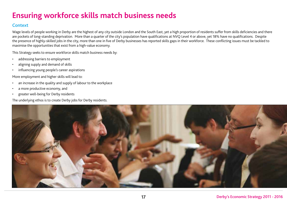### **Ensuring workforce skills match business needs**

### **Context**

Wage levels of people working in Derby are the highest of any city outside London and the South East, yet a high proportion of residents suffer from skills deficiencies and there are pockets of long-standing deprivation. More than a quarter of the city's population have qualifications at NVQ Level 4 or above, yet 18% have no qualifications. Despite the presence of highly-skilled jobs in the city, more than one in five of Derby businesses has reported skills gaps in their workforce. These conflicting issues must be tackled to maximise the opportunities that exist from a high-value economy.

This Strategy seeks to ensure workforce skills match business needs by:

- addressing barriers to employment
- aligning supply and demand of skills
- influencing young people's career aspirations

More employment and higher skills will lead to:

- an increase in the quality and supply of labour to the workplace
- a more productive economy, and
- greater well-being for Derby residents

The underlying ethos is to create Derby jobs for Derby residents.

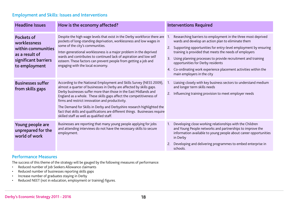### Employment and Skills: Issues and Interventions

| <b>Headline Issues</b>                                                                                      | How is the economy affected?                                                                                                                                                                                                                                                                                                                                                                                                                                                                                                                     | <b>Interventions Required</b>                                                                                                                                                                                                                                                                                                                                                                                                                                    |
|-------------------------------------------------------------------------------------------------------------|--------------------------------------------------------------------------------------------------------------------------------------------------------------------------------------------------------------------------------------------------------------------------------------------------------------------------------------------------------------------------------------------------------------------------------------------------------------------------------------------------------------------------------------------------|------------------------------------------------------------------------------------------------------------------------------------------------------------------------------------------------------------------------------------------------------------------------------------------------------------------------------------------------------------------------------------------------------------------------------------------------------------------|
| Pockets of<br>worklessness<br>within communities<br>as a result of<br>significant barriers<br>to employment | Despite the high wage levels that exist in the Derby workforce there are 1.<br>pockets of long-standing deprivation, worklessness and low wages in<br>some of the city's communities.<br>Inter-generational worklessness is a major problem in the deprived<br>wards and contributes to continued lack of aspiration and low self<br>esteem. These factors can prevent people from getting a job and<br>engaging with the local economy.                                                                                                         | Researching barriers to employment in the three most deprived<br>wards and develop an action plan to eliminate them<br>2. Supporting opportunities for entry-level employment by ensuring<br>training is provided that meets the needs of employers<br>Using planning processes to provide recruitment and training<br>3.<br>opportunities for Derby residents<br>4. Co-ordinating work experience placement activities within the<br>main employers in the city |
| <b>Businesses suffer</b><br>from skills gaps                                                                | According to the National Employment and Skills Survey (NESS 2009),<br>almost a quarter of businesses in Derby are affected by skills gaps.<br>Derby businesses suffer more than those in the East Midlands and<br>England as a whole. These skills gaps affect the competitiveness of<br>firms and restrict innovation and productivity.<br>The Demand for Skills in Derby and Derbyshire research highlighted the<br>fact that skills and qualifications are different things. Businesses require<br>skilled staff as well as qualified staff. | Liaising closely with key business sectors to understand medium<br>$\overline{1}$<br>and longer term skills needs<br>Influencing training provision to meet employer needs<br>2.                                                                                                                                                                                                                                                                                 |
| Young people are<br>unprepared for the<br>world of work                                                     | Businesses are reporting that many young people applying for jobs<br>and attending interviews do not have the necessary skills to secure<br>employment.                                                                                                                                                                                                                                                                                                                                                                                          | Developing close working relationships with the Children<br>-1.<br>and Young People networks and partnerships to improve the<br>information available to young people about career opportunities<br>in Derby<br>Developing and delivering programmes to embed enterprise in<br>schools.                                                                                                                                                                          |

### Performance Measures

The success of this theme of the strategy will be gauged by the following measures of performance:

- Reduced number of Job Seekers Allowance claimants
- Reduced number of businesses reporting skills gaps
- Increase number of graduates staying in Derby
- Reduced NEET (not in education, employment or training) figures.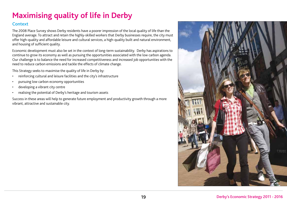# **Maximising quality of life in Derby**

### **Context**

The 2008 Place Survey shows Derby residents have a poorer impression of the local quality of life than the England average. To attract and retain the highly-skilled workers that Derby businesses require, the city must offer high-quality and affordable leisure and cultural services, a high-quality built and natural environment, and housing of sufficient quality.

Economic development must also be set in the context of long-term sustainability. Derby has aspirations to continue to grow its economy as well as pursuing the opportunities associated with the low carbon agenda. Our challenge is to balance the need for increased competitiveness and increased job opportunities with the need to reduce carbon emissions and tackle the effects of climate change.

This Strategy seeks to maximise the quality of life in Derby by:

- reinforcing cultural and leisure facilities and the city's infrastructure
- pursuing low carbon economy opportunities
- developing a vibrant city centre
- realising the potential of Derby's heritage and tourism assets

Success in these areas will help to generate future employment and productivity growth through a more vibrant, attractive and sustainable city.

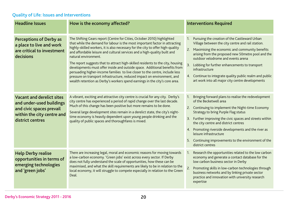### Quality of Life: Issues and Interventions

| <b>Headline Issues</b>                                                                                                                     | How is the economy affected?                                                                                                                                                                                                                                                                                                                                                                                                                                                                                                                                                                                                                                                                                                                               | <b>Interventions Required</b>                                                                                                                                                                                                                                                                                                                                                                                                                                      |
|--------------------------------------------------------------------------------------------------------------------------------------------|------------------------------------------------------------------------------------------------------------------------------------------------------------------------------------------------------------------------------------------------------------------------------------------------------------------------------------------------------------------------------------------------------------------------------------------------------------------------------------------------------------------------------------------------------------------------------------------------------------------------------------------------------------------------------------------------------------------------------------------------------------|--------------------------------------------------------------------------------------------------------------------------------------------------------------------------------------------------------------------------------------------------------------------------------------------------------------------------------------------------------------------------------------------------------------------------------------------------------------------|
| <b>Perceptions of Derby as</b><br>a place to live and work<br>are critical to investment<br>decisions                                      | The Shifting Gears report (Centre for Cities, October 2010) highlighted<br>that while the demand for labour is the most important factor in attracting<br>highly-skilled workers, it is also necessary for the city to offer high-quality<br>and affordable leisure and cultural services and a high-quality built and<br>natural environment.<br>The report suggests that to attract high-skilled residents to the city, housing<br>developments must offer inside and outside space. Additional benefits from<br>persuading higher-income families to live closer to the centre, include less<br>pressure on transport infrastructure, reduced impact on environment, and<br>wealth retention as Derby's workers spend earnings in the city's core area. | Pursuing the creation of the Castleward Urban<br>1.<br>Village between the city centre and rail station.<br>Maximising the economic and community benefits<br>2.<br>arising from the proposed new 50 metre pool and the<br>outdoor velodrome and events arena<br>3.<br>Lobbing for further enhancements to transport<br>infrastructure<br>4. Continue to integrate quality public realm and public<br>art work into all major city centre developments             |
| <b>Vacant and derelict sites</b><br>and under-used buildings<br>and civic spaces prevail<br>within the city centre and<br>district centres | A vibrant, exciting and attractive city centre is crucial for any city. Derby's<br>city centre has experienced a period of rapid change over the last decade.<br>Much of this change has been positive but more remains to be done.<br>Several large development sites remain in a derelict state, the city's night-<br>time economy is heavily dependent upon young people drinking and the<br>quality of public spaces and thoroughfares is mixed.                                                                                                                                                                                                                                                                                                       | Bringing forward plans to realise the redevelopment<br>$1_{\cdot}$<br>of the Becketwell area<br>2. Continuing to implement the Night-time Economy<br><b>Strategy to bring Purple Flag status</b><br>3. Further improving the civic spaces and streets within<br>the city centre and district centres<br>4. Promoting riverside developments and the river as<br>leisure infrastructure<br>5. Continuing improvements to the environment of the<br>district centres |
| <b>Help Derby realise</b><br>opportunities in terms of<br>emerging technologies<br>and 'green jobs'                                        | There are increasing legal, moral and economic reasons for moving towards<br>a low-carbon economy. 'Green jobs' exist across every sector. If Derby<br>does not fully understand the scale of opportunities, how these can be<br>maximised, and what the skill requirements are likely to be in relation to the<br>local economy, it will struggle to compete especially in relation to the Green<br>Deal.                                                                                                                                                                                                                                                                                                                                                 | Research the opportunities related to the low carbon<br>1.<br>economy and generate a contact database for the<br>low carbon business sector in Derby<br>2.<br>Promoting skills in low-carbon technologies through<br>business networks and by linking private sector<br>practice and innovation with university research<br>expertise                                                                                                                              |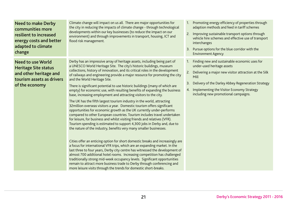| <b>Need to make Derby</b><br>communities more<br>resilient to increased<br>energy costs and better<br>adapted to climate<br>change | Climate change will impact on us all. There are major opportunities for<br>the city in reducing the impacts of climate change - through technological<br>developments within our key businesses (to reduce the impact on our<br>environment) and through improvements in transport, housing, ICT and<br>flood risk management.                                                                                                                                                                                                                                                                                                                                                                                                                                                                                                                                                                                                                                                                                                                                                                                                                                                                                                                                                                                                                                                                                                                                                                                                                                                                                                                                                       | 1. Promoting energy efficiency of properties through<br>adaption methods and feed in tariff schemes<br>Improving sustainable transport options through<br>2.<br>vehicle hire schemes and effective use of transport<br>interchanges<br>3. Pursue options for the blue corridor with the<br><b>Environment Agency</b>          |
|------------------------------------------------------------------------------------------------------------------------------------|--------------------------------------------------------------------------------------------------------------------------------------------------------------------------------------------------------------------------------------------------------------------------------------------------------------------------------------------------------------------------------------------------------------------------------------------------------------------------------------------------------------------------------------------------------------------------------------------------------------------------------------------------------------------------------------------------------------------------------------------------------------------------------------------------------------------------------------------------------------------------------------------------------------------------------------------------------------------------------------------------------------------------------------------------------------------------------------------------------------------------------------------------------------------------------------------------------------------------------------------------------------------------------------------------------------------------------------------------------------------------------------------------------------------------------------------------------------------------------------------------------------------------------------------------------------------------------------------------------------------------------------------------------------------------------------|-------------------------------------------------------------------------------------------------------------------------------------------------------------------------------------------------------------------------------------------------------------------------------------------------------------------------------|
| <b>Need to use World</b><br><b>Heritage Site status</b><br>and other heritage and<br>tourism assets as drivers<br>of the economy   | Derby has an impressive array of heritage assets, including being part of<br>a UNESCO World Heritage Site. The city's historic buildings, museum<br>collections, history of innovation, and its critical roles in the development<br>of railways and engineering provide a major resource for promoting the city<br>and the World Heritage Site.<br>There is significant potential to use historic buildings (many of which are<br>empty) for economic use, with resulting benefits of expanding the business<br>base, increasing employment and attracting visitors to the city.<br>The UK has the fifth largest tourism industry in the world, attracting<br>32 million overseas visitors a year. Domestic tourism offers significant<br>opportunities for economic growth as the UK currently under-performs<br>compared to other European countries. Tourism includes travel undertaken<br>for leisure, for business and whilst visiting friends and relatives (VFR).<br>Tourism spending is estimated to support 4,300 jobs in Derby and, due to<br>the nature of the industry, benefits very many smaller businesses.<br>Cities offer an enticing option for short domestic breaks and increasingly are<br>a focus for international VFR trips, which are an expanding market. In the<br>last three to four years, Derby city centre has witnessed the development of<br>almost 700 additional hotel rooms. Increasing competition has challenged<br>traditionally strong mid-week occupancy levels. Significant opportunities<br>remain to attract more business trade to Derby through conferencing and<br>more leisure visits through the trends for domestic short-breaks. | Finding new and sustainable economic uses for<br>$\overline{1}$ .<br>under-used heritage assets<br>2.<br>Delivering a major new visitor attraction at the Silk<br>Mill<br>Delivery of the Darley Abbey Regeneration Strategy<br>3.<br>Implementing the Visitor Economy Strategy<br>4.<br>including new promotional campaigns. |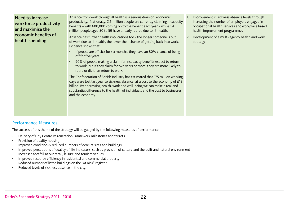### Need to increase workforce productivity and maximise the economic benefits of health spending

Absence from work through ill health is a serious drain on economic productivity. Nationally, 2.6 million people are currently claiming incapacity benefits – with 600,000 coming on to the benefit each year – while 1.4 million people aged 50 to 59 have already retired due to ill-health.

Absence has further health implications too - the longer someone is out of work due to ill-health, the lower their chance of getting back into work. Evidence shows that:

- If people are off sick for six months, they have an 80% chance of being off for five years
- 90% of people making a claim for incapacity benefits expect to return to work, but if they claim for two years or more, they are more likely to retire or die than return to work.

The Confederation of British Industry has estimated that 175 million working days were lost last year to sickness absence, at a cost to the economy of £13 billion. By addressing health, work and well-being we can make a real and substantial difference to the health of individuals and the cost to businesses and the economy.

- 1. Improvement in sickness absence levels through increasing the number of employers engaged in occupational health services and workplace based health improvement programmes
- 2. Development of a multi-agency health and work strategy

#### Performance Measures

The success of this theme of the strategy will be gauged by the following measures of performance:

- Delivery of City Centre Regeneration Framework milestones and targets
- Provision of quality housing
- Improved condition & reduced numbers of derelict sites and buildings
- Improved perceptions of quality of life indicators, such as provision of culture and the built and natural environment
- Increased footfall at our retail, leisure and tourism venues
- Improved resource efficiency in residential and commercial property
- Reduced number of listed buildings on the "At Risk" register
- Reduced levels of sickness absence in the city.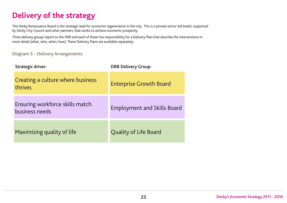# **Delivery of the strategy**

The Derby Renaissance Board is the strategic lead for economic regeneration in the city. This is a private sector led board, supported by Derby City Council and other partners, that works to achieve economic prosperity.

Three delivery groups report to the DRB and each of these has responsibility for a Delivery Plan that describe the interventions in more detail (what, who, when, how). These Delivery Plans are available separately.

Diagram 5 – Delivery Arrangements

| <b>Strategic driver:</b>                          | <b>DRB Delivery Group:</b>         |
|---------------------------------------------------|------------------------------------|
| Creating a culture where business<br>thrives      | <b>Enterprise Growth Board</b>     |
| Ensuring workforce skills match<br>business needs | <b>Employment and Skills Board</b> |
| Maximising quality of life                        | Quality of Life Board              |